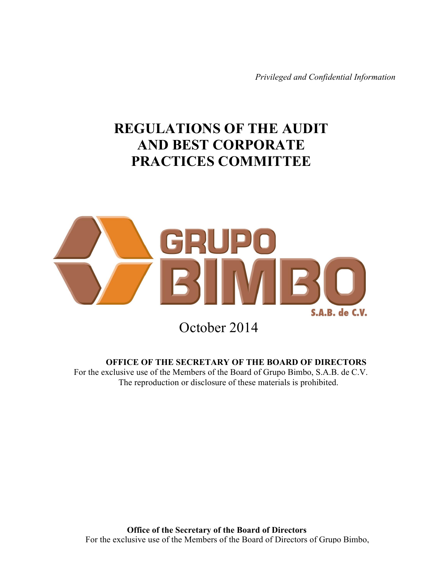*Privileged and Confidential Information*

# **REGULATIONS OF THE AUDIT AND BEST CORPORATE PRACTICES COMMITTEE**



October 2014

**OFFICE OF THE SECRETARY OF THE BOARD OF DIRECTORS**

For the exclusive use of the Members of the Board of Grupo Bimbo, S.A.B. de C.V. The reproduction or disclosure of these materials is prohibited.

**Office of the Secretary of the Board of Directors** For the exclusive use of the Members of the Board of Directors of Grupo Bimbo,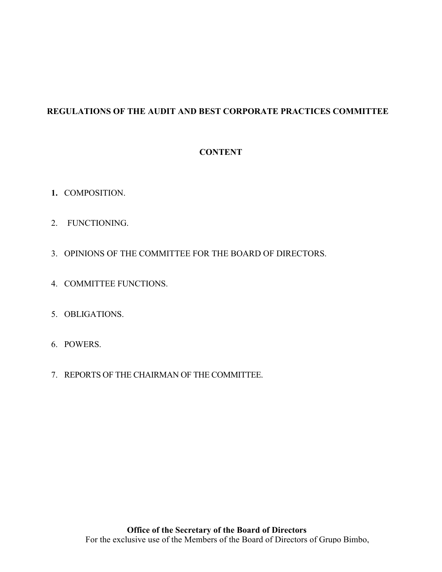# **REGULATIONS OF THE AUDIT AND BEST CORPORATE PRACTICES COMMITTEE**

# **CONTENT**

- **1.** COMPOSITION.
- 2. FUNCTIONING.
- 3. OPINIONS OF THE COMMITTEE FOR THE BOARD OF DIRECTORS.
- 4. COMMITTEE FUNCTIONS.
- 5. OBLIGATIONS.
- 6. POWERS.
- 7. REPORTS OF THE CHAIRMAN OF THE COMMITTEE.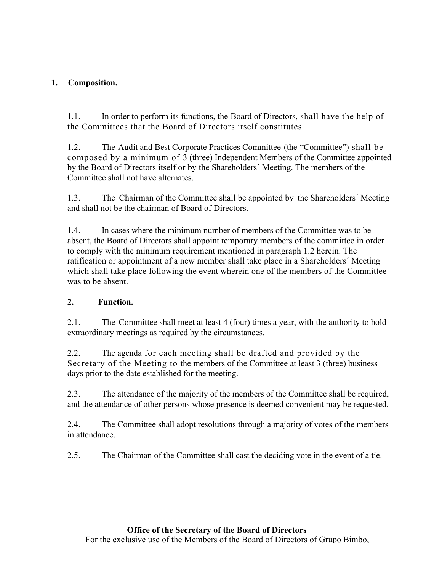# **1. Composition.**

1.1. In order to perform its functions, the Board of Directors, shall have the help of the Committees that the Board of Directors itself constitutes.

1.2. The Audit and Best Corporate Practices Committee (the "Committee") shall be composed by a minimum of 3 (three) Independent Members of the Committee appointed by the Board of Directors itself or by the Shareholders´ Meeting. The members of the Committee shall not have alternates.

1.3. The Chairman of the Committee shall be appointed by the Shareholders´ Meeting and shall not be the chairman of Board of Directors.

1.4. In cases where the minimum number of members of the Committee was to be absent, the Board of Directors shall appoint temporary members of the committee in order to comply with the minimum requirement mentioned in paragraph 1.2 herein. The ratification or appointment of a new member shall take place in a Shareholders´ Meeting which shall take place following the event wherein one of the members of the Committee was to be absent.

# **2. Function.**

2.1. The Committee shall meet at least 4 (four) times a year, with the authority to hold extraordinary meetings as required by the circumstances.

2.2. The agenda for each meeting shall be drafted and provided by the Secretary of the Meeting to the members of the Committee at least 3 (three) business days prior to the date established for the meeting.

2.3. The attendance of the majority of the members of the Committee shall be required, and the attendance of other persons whose presence is deemed convenient may be requested.

2.4. The Committee shall adopt resolutions through a majority of votes of the members in attendance.

2.5. The Chairman of the Committee shall cast the deciding vote in the event of a tie.

# **Office of the Secretary of the Board of Directors** For the exclusive use of the Members of the Board of Directors of Grupo Bimbo,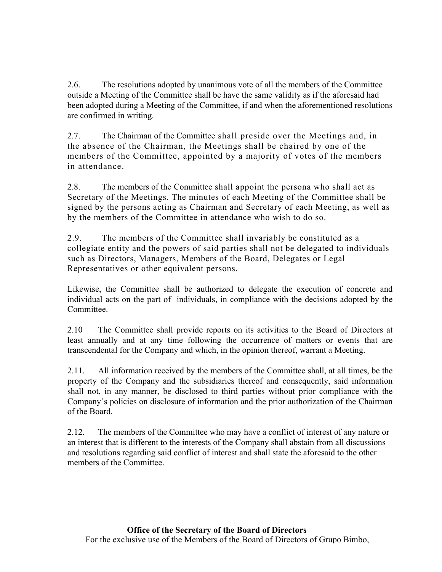2.6. The resolutions adopted by unanimous vote of all the members of the Committee outside a Meeting of the Committee shall be have the same validity as if the aforesaid had been adopted during a Meeting of the Committee, if and when the aforementioned resolutions are confirmed in writing.

2.7. The Chairman of the Committee shall preside over the Meetings and, in the absence of the Chairman, the Meetings shall be chaired by one of the members of the Committee, appointed by a majority of votes of the members in attendance.

2.8. The members of the Committee shall appoint the persona who shall act as Secretary of the Meetings. The minutes of each Meeting of the Committee shall be signed by the persons acting as Chairman and Secretary of each Meeting, as well as by the members of the Committee in attendance who wish to do so.

2.9. The members of the Committee shall invariably be constituted as a collegiate entity and the powers of said parties shall not be delegated to individuals such as Directors, Managers, Members of the Board, Delegates or Legal Representatives or other equivalent persons.

Likewise, the Committee shall be authorized to delegate the execution of concrete and individual acts on the part of individuals, in compliance with the decisions adopted by the Committee.

2.10 The Committee shall provide reports on its activities to the Board of Directors at least annually and at any time following the occurrence of matters or events that are transcendental for the Company and which, in the opinion thereof, warrant a Meeting.

2.11. All information received by the members of the Committee shall, at all times, be the property of the Company and the subsidiaries thereof and consequently, said information shall not, in any manner, be disclosed to third parties without prior compliance with the Company´s policies on disclosure of information and the prior authorization of the Chairman of the Board.

2.12. The members of the Committee who may have a conflict of interest of any nature or an interest that is different to the interests of the Company shall abstain from all discussions and resolutions regarding said conflict of interest and shall state the aforesaid to the other members of the Committee.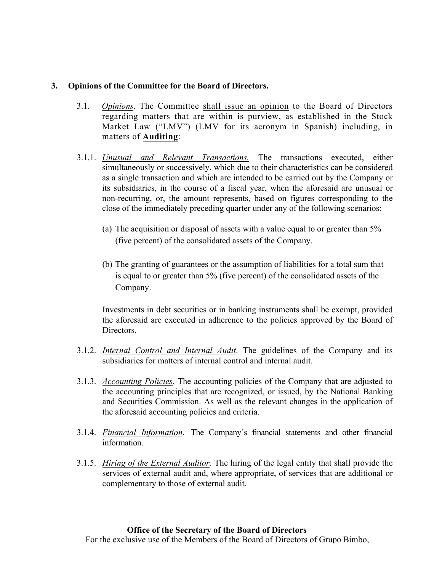## **3. Opinions of the Committee for the Board of Directors.**

- 3.1. *Opinions*. The Committee shall issue an opinion to the Board of Directors regarding matters that are within is purview, as established in the Stock Market Law ("LMV") (LMV for its acronym in Spanish) including, in matters of **Auditing**:
- 3.1.1. *Unusual and Relevant Transactions.* The transactions executed, either simultaneously or successively, which due to their characteristics can be considered as a single transaction and which are intended to be carried out by the Company or its subsidiaries, in the course of a fiscal year, when the aforesaid are unusual or non-recurring, or, the amount represents, based on figures corresponding to the close of the immediately preceding quarter under any of the following scenarios:
	- (a) The acquisition or disposal of assets with a value equal to or greater than 5% (five percent) of the consolidated assets of the Company.
	- (b) The granting of guarantees or the assumption of liabilities for a total sum that is equal to or greater than 5% (five percent) of the consolidated assets of the Company.

Investments in debt securities or in banking instruments shall be exempt, provided the aforesaid are executed in adherence to the policies approved by the Board of Directors.

- 3.1.2. *Internal Control and Internal Audit*. The guidelines of the Company and its subsidiaries for matters of internal control and internal audit.
- 3.1.3. *Accounting Policies*. The accounting policies of the Company that are adjusted to the accounting principles that are recognized, or issued, by the National Banking and Securities Commission. As well as the relevant changes in the application of the aforesaid accounting policies and criteria.
- 3.1.4. *Financial Information*. The Company´s financial statements and other financial information.
- 3.1.5. *Hiring of the External Auditor*. The hiring of the legal entity that shall provide the services of external audit and, where appropriate, of services that are additional or complementary to those of external audit.

## **Office of the Secretary of the Board of Directors**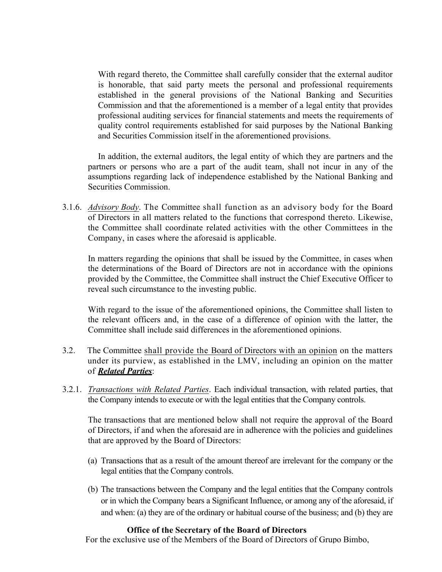With regard thereto, the Committee shall carefully consider that the external auditor is honorable, that said party meets the personal and professional requirements established in the general provisions of the National Banking and Securities Commission and that the aforementioned is a member of a legal entity that provides professional auditing services for financial statements and meets the requirements of quality control requirements established for said purposes by the National Banking and Securities Commission itself in the aforementioned provisions.

In addition, the external auditors, the legal entity of which they are partners and the partners or persons who are a part of the audit team, shall not incur in any of the assumptions regarding lack of independence established by the National Banking and Securities Commission.

3.1.6. *Advisory Body*. The Committee shall function as an advisory body for the Board of Directors in all matters related to the functions that correspond thereto. Likewise, the Committee shall coordinate related activities with the other Committees in the Company, in cases where the aforesaid is applicable.

In matters regarding the opinions that shall be issued by the Committee, in cases when the determinations of the Board of Directors are not in accordance with the opinions provided by the Committee, the Committee shall instruct the Chief Executive Officer to reveal such circumstance to the investing public.

With regard to the issue of the aforementioned opinions, the Committee shall listen to the relevant officers and, in the case of a difference of opinion with the latter, the Committee shall include said differences in the aforementioned opinions.

- 3.2. The Committee shall provide the Board of Directors with an opinion on the matters under its purview, as established in the LMV, including an opinion on the matter of *Related Parties*:
- 3.2.1. *Transactions with Related Parties*. Each individual transaction, with related parties, that the Company intends to execute or with the legal entities that the Company controls.

The transactions that are mentioned below shall not require the approval of the Board of Directors, if and when the aforesaid are in adherence with the policies and guidelines that are approved by the Board of Directors:

- (a) Transactions that as a result of the amount thereof are irrelevant for the company or the legal entities that the Company controls.
- (b) The transactions between the Company and the legal entities that the Company controls or in which the Company bears a Significant Influence, or among any of the aforesaid, if and when: (a) they are of the ordinary or habitual course of the business; and (b) they are

## **Office of the Secretary of the Board of Directors**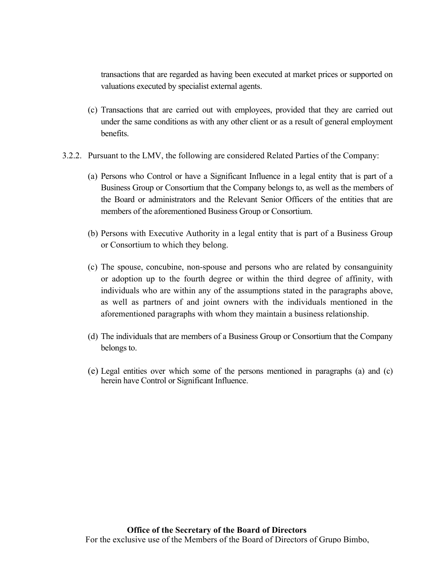transactions that are regarded as having been executed at market prices or supported on valuations executed by specialist external agents.

- (c) Transactions that are carried out with employees, provided that they are carried out under the same conditions as with any other client or as a result of general employment benefits.
- 3.2.2. Pursuant to the LMV, the following are considered Related Parties of the Company:
	- (a) Persons who Control or have a Significant Influence in a legal entity that is part of a Business Group or Consortium that the Company belongs to, as well as the members of the Board or administrators and the Relevant Senior Officers of the entities that are members of the aforementioned Business Group or Consortium.
	- (b) Persons with Executive Authority in a legal entity that is part of a Business Group or Consortium to which they belong.
	- (c) The spouse, concubine, non-spouse and persons who are related by consanguinity or adoption up to the fourth degree or within the third degree of affinity, with individuals who are within any of the assumptions stated in the paragraphs above, as well as partners of and joint owners with the individuals mentioned in the aforementioned paragraphs with whom they maintain a business relationship.
	- (d) The individuals that are members of a Business Group or Consortium that the Company belongs to.
	- (e) Legal entities over which some of the persons mentioned in paragraphs (a) and (c) herein have Control or Significant Influence.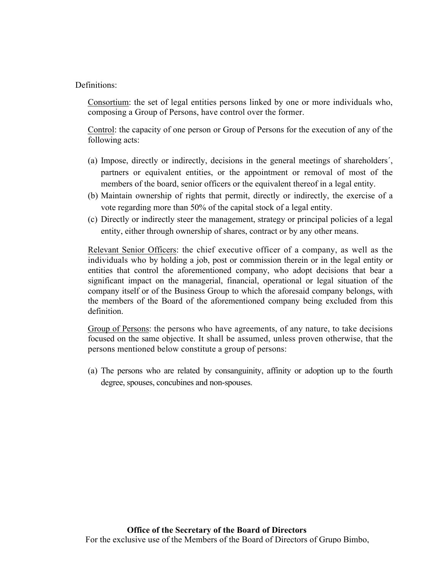# Definitions:

Consortium: the set of legal entities persons linked by one or more individuals who, composing a Group of Persons, have control over the former.

Control: the capacity of one person or Group of Persons for the execution of any of the following acts:

- (a) Impose, directly or indirectly, decisions in the general meetings of shareholders´, partners or equivalent entities, or the appointment or removal of most of the members of the board, senior officers or the equivalent thereof in a legal entity.
- (b) Maintain ownership of rights that permit, directly or indirectly, the exercise of a vote regarding more than 50% of the capital stock of a legal entity.
- (c) Directly or indirectly steer the management, strategy or principal policies of a legal entity, either through ownership of shares, contract or by any other means.

Relevant Senior Officers: the chief executive officer of a company, as well as the individuals who by holding a job, post or commission therein or in the legal entity or entities that control the aforementioned company, who adopt decisions that bear a significant impact on the managerial, financial, operational or legal situation of the company itself or of the Business Group to which the aforesaid company belongs, with the members of the Board of the aforementioned company being excluded from this definition.

Group of Persons: the persons who have agreements, of any nature, to take decisions focused on the same objective. It shall be assumed, unless proven otherwise, that the persons mentioned below constitute a group of persons:

(a) The persons who are related by consanguinity, affinity or adoption up to the fourth degree, spouses, concubines and non-spouses.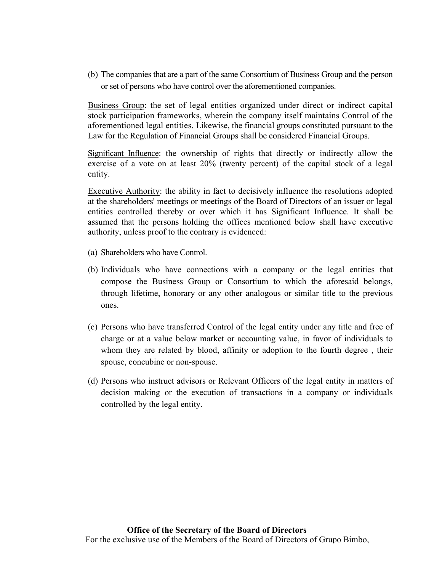(b) The companies that are a part of the same Consortium of Business Group and the person or set of persons who have control over the aforementioned companies.

Business Group: the set of legal entities organized under direct or indirect capital stock participation frameworks, wherein the company itself maintains Control of the aforementioned legal entities. Likewise, the financial groups constituted pursuant to the Law for the Regulation of Financial Groups shall be considered Financial Groups.

Significant Influence: the ownership of rights that directly or indirectly allow the exercise of a vote on at least 20% (twenty percent) of the capital stock of a legal entity.

Executive Authority: the ability in fact to decisively influence the resolutions adopted at the shareholders' meetings or meetings of the Board of Directors of an issuer or legal entities controlled thereby or over which it has Significant Influence. It shall be assumed that the persons holding the offices mentioned below shall have executive authority, unless proof to the contrary is evidenced:

- (a) Shareholders who have Control.
- (b) Individuals who have connections with a company or the legal entities that compose the Business Group or Consortium to which the aforesaid belongs, through lifetime, honorary or any other analogous or similar title to the previous ones.
- (c) Persons who have transferred Control of the legal entity under any title and free of charge or at a value below market or accounting value, in favor of individuals to whom they are related by blood, affinity or adoption to the fourth degree , their spouse, concubine or non-spouse.
- (d) Persons who instruct advisors or Relevant Officers of the legal entity in matters of decision making or the execution of transactions in a company or individuals controlled by the legal entity.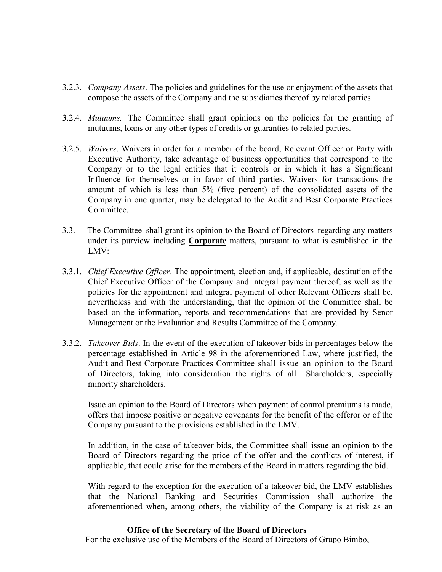- 3.2.3. *Company Assets*. The policies and guidelines for the use or enjoyment of the assets that compose the assets of the Company and the subsidiaries thereof by related parties.
- 3.2.4. *Mutuums.* The Committee shall grant opinions on the policies for the granting of mutuums, loans or any other types of credits or guaranties to related parties.
- 3.2.5. *Waivers*. Waivers in order for a member of the board, Relevant Officer or Party with Executive Authority, take advantage of business opportunities that correspond to the Company or to the legal entities that it controls or in which it has a Significant Influence for themselves or in favor of third parties. Waivers for transactions the amount of which is less than 5% (five percent) of the consolidated assets of the Company in one quarter, may be delegated to the Audit and Best Corporate Practices Committee.
- 3.3. The Committee shall grant its opinion to the Board of Directors regarding any matters under its purview including **Corporate** matters, pursuant to what is established in the LMV:
- 3.3.1. *Chief Executive Officer*. The appointment, election and, if applicable, destitution of the Chief Executive Officer of the Company and integral payment thereof, as well as the policies for the appointment and integral payment of other Relevant Officers shall be, nevertheless and with the understanding, that the opinion of the Committee shall be based on the information, reports and recommendations that are provided by Senor Management or the Evaluation and Results Committee of the Company.
- 3.3.2. *Takeover Bids*. In the event of the execution of takeover bids in percentages below the percentage established in Article 98 in the aforementioned Law, where justified, the Audit and Best Corporate Practices Committee shall issue an opinion to the Board of Directors, taking into consideration the rights of all Shareholders, especially minority shareholders.

Issue an opinion to the Board of Directors when payment of control premiums is made, offers that impose positive or negative covenants for the benefit of the offeror or of the Company pursuant to the provisions established in the LMV.

In addition, in the case of takeover bids, the Committee shall issue an opinion to the Board of Directors regarding the price of the offer and the conflicts of interest, if applicable, that could arise for the members of the Board in matters regarding the bid.

With regard to the exception for the execution of a takeover bid, the LMV establishes that the National Banking and Securities Commission shall authorize the aforementioned when, among others, the viability of the Company is at risk as an

#### **Office of the Secretary of the Board of Directors**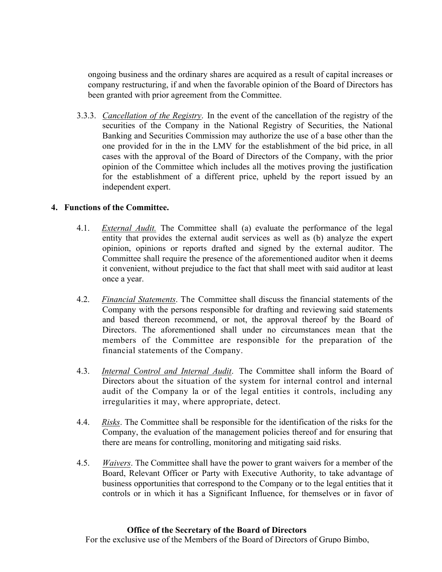ongoing business and the ordinary shares are acquired as a result of capital increases or company restructuring, if and when the favorable opinion of the Board of Directors has been granted with prior agreement from the Committee.

3.3.3. *Cancellation of the Registry*. In the event of the cancellation of the registry of the securities of the Company in the National Registry of Securities, the National Banking and Securities Commission may authorize the use of a base other than the one provided for in the in the LMV for the establishment of the bid price, in all cases with the approval of the Board of Directors of the Company, with the prior opinion of the Committee which includes all the motives proving the justification for the establishment of a different price, upheld by the report issued by an independent expert.

# **4. Functions of the Committee.**

- 4.1. *External Audit.* The Committee shall (a) evaluate the performance of the legal entity that provides the external audit services as well as (b) analyze the expert opinion, opinions or reports drafted and signed by the external auditor. The Committee shall require the presence of the aforementioned auditor when it deems it convenient, without prejudice to the fact that shall meet with said auditor at least once a year.
- 4.2. *Financial Statements*. The Committee shall discuss the financial statements of the Company with the persons responsible for drafting and reviewing said statements and based thereon recommend, or not, the approval thereof by the Board of Directors. The aforementioned shall under no circumstances mean that the members of the Committee are responsible for the preparation of the financial statements of the Company.
- 4.3. *Internal Control and Internal Audit*. The Committee shall inform the Board of Directors about the situation of the system for internal control and internal audit of the Company la or of the legal entities it controls, including any irregularities it may, where appropriate, detect.
- 4.4. *Risks*. The Committee shall be responsible for the identification of the risks for the Company, the evaluation of the management policies thereof and for ensuring that there are means for controlling, monitoring and mitigating said risks.
- 4.5. *Waivers*. The Committee shall have the power to grant waivers for a member of the Board, Relevant Officer or Party with Executive Authority, to take advantage of business opportunities that correspond to the Company or to the legal entities that it controls or in which it has a Significant Influence, for themselves or in favor of

#### **Office of the Secretary of the Board of Directors**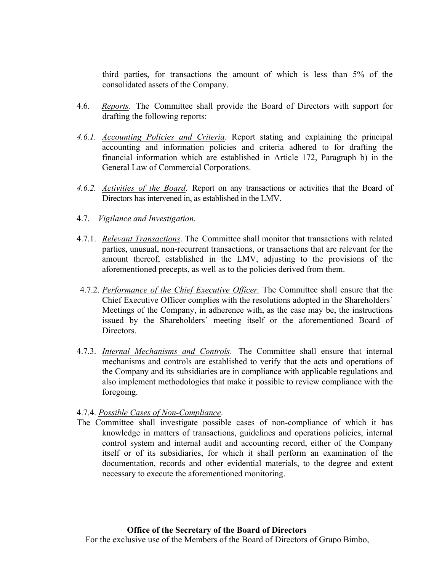third parties, for transactions the amount of which is less than 5% of the consolidated assets of the Company.

- 4.6. *Reports*. The Committee shall provide the Board of Directors with support for drafting the following reports:
- *4.6.1. Accounting Policies and Criteria*. Report stating and explaining the principal accounting and information policies and criteria adhered to for drafting the financial information which are established in Article 172, Paragraph b) in the General Law of Commercial Corporations.
- *4.6.2. Activities of the Board*. Report on any transactions or activities that the Board of Directors has intervened in, as established in the LMV.
- 4.7. *Vigilance and Investigation*.
- 4.7.1. *Relevant Transactions*. The Committee shall monitor that transactions with related parties, unusual, non-recurrent transactions, or transactions that are relevant for the amount thereof, established in the LMV, adjusting to the provisions of the aforementioned precepts, as well as to the policies derived from them.
- 4.7.2. *Performance of the Chief Executive Officer.* The Committee shall ensure that the Chief Executive Officer complies with the resolutions adopted in the Shareholders´ Meetings of the Company, in adherence with, as the case may be, the instructions issued by the Shareholders´ meeting itself or the aforementioned Board of Directors.
- 4.7.3. *Internal Mechanisms and Controls*. The Committee shall ensure that internal mechanisms and controls are established to verify that the acts and operations of the Company and its subsidiaries are in compliance with applicable regulations and also implement methodologies that make it possible to review compliance with the foregoing.

## 4.7.4. *Possible Cases of Non-Compliance*.

The Committee shall investigate possible cases of non-compliance of which it has knowledge in matters of transactions, guidelines and operations policies, internal control system and internal audit and accounting record, either of the Company itself or of its subsidiaries, for which it shall perform an examination of the documentation, records and other evidential materials, to the degree and extent necessary to execute the aforementioned monitoring.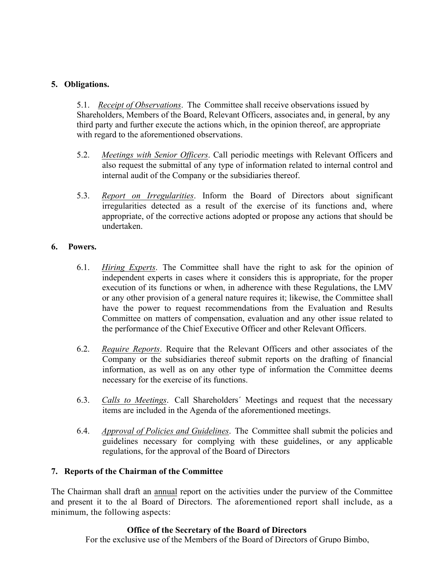# **5. Obligations.**

5.1. *Receipt of Observations*. The Committee shall receive observations issued by Shareholders, Members of the Board, Relevant Officers, associates and, in general, by any third party and further execute the actions which, in the opinion thereof, are appropriate with regard to the aforementioned observations.

- 5.2. *Meetings with Senior Officers*. Call periodic meetings with Relevant Officers and also request the submittal of any type of information related to internal control and internal audit of the Company or the subsidiaries thereof.
- 5.3. *Report on Irregularities*. Inform the Board of Directors about significant irregularities detected as a result of the exercise of its functions and, where appropriate, of the corrective actions adopted or propose any actions that should be undertaken.

# **6. Powers.**

- 6.1. *Hiring Experts*. The Committee shall have the right to ask for the opinion of independent experts in cases where it considers this is appropriate, for the proper execution of its functions or when, in adherence with these Regulations, the LMV or any other provision of a general nature requires it; likewise, the Committee shall have the power to request recommendations from the Evaluation and Results Committee on matters of compensation, evaluation and any other issue related to the performance of the Chief Executive Officer and other Relevant Officers.
- 6.2. *Require Reports*. Require that the Relevant Officers and other associates of the Company or the subsidiaries thereof submit reports on the drafting of financial information, as well as on any other type of information the Committee deems necessary for the exercise of its functions.
- 6.3. *Calls to Meetings*. Call Shareholders´ Meetings and request that the necessary items are included in the Agenda of the aforementioned meetings.
- 6.4. *Approval of Policies and Guidelines*. The Committee shall submit the policies and guidelines necessary for complying with these guidelines, or any applicable regulations, for the approval of the Board of Directors

# **7. Reports of the Chairman of the Committee**

The Chairman shall draft an annual report on the activities under the purview of the Committee and present it to the al Board of Directors. The aforementioned report shall include, as a minimum, the following aspects:

## **Office of the Secretary of the Board of Directors**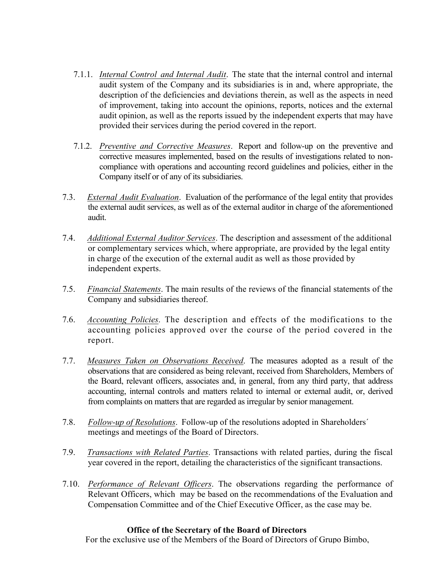- 7.1.1. *Internal Control and Internal Audit*. The state that the internal control and internal audit system of the Company and its subsidiaries is in and, where appropriate, the description of the deficiencies and deviations therein, as well as the aspects in need of improvement, taking into account the opinions, reports, notices and the external audit opinion, as well as the reports issued by the independent experts that may have provided their services during the period covered in the report.
- 7.1.2. *Preventive and Corrective Measures*. Report and follow-up on the preventive and corrective measures implemented, based on the results of investigations related to noncompliance with operations and accounting record guidelines and policies, either in the Company itself or of any of its subsidiaries.
- 7.3. *External Audit Evaluation*. Evaluation of the performance of the legal entity that provides the external audit services, as well as of the external auditor in charge of the aforementioned audit.
- 7.4. *Additional External Auditor Services*. The description and assessment of the additional or complementary services which, where appropriate, are provided by the legal entity in charge of the execution of the external audit as well as those provided by independent experts.
- 7.5. *Financial Statements*. The main results of the reviews of the financial statements of the Company and subsidiaries thereof.
- 7.6. *Accounting Policies*. The description and effects of the modifications to the accounting policies approved over the course of the period covered in the report.
- 7.7. *Measures Taken on Observations Received*. The measures adopted as a result of the observations that are considered as being relevant, received from Shareholders, Members of the Board, relevant officers, associates and, in general, from any third party, that address accounting, internal controls and matters related to internal or external audit, or, derived from complaints on matters that are regarded as irregular by senior management.
- 7.8. *Follow-up of Resolutions*. Follow-up of the resolutions adopted in Shareholders´ meetings and meetings of the Board of Directors.
- 7.9. *Transactions with Related Parties*. Transactions with related parties, during the fiscal year covered in the report, detailing the characteristics of the significant transactions.
- 7.10. *Performance of Relevant Officers*. The observations regarding the performance of Relevant Officers, which may be based on the recommendations of the Evaluation and Compensation Committee and of the Chief Executive Officer, as the case may be.

## **Office of the Secretary of the Board of Directors**